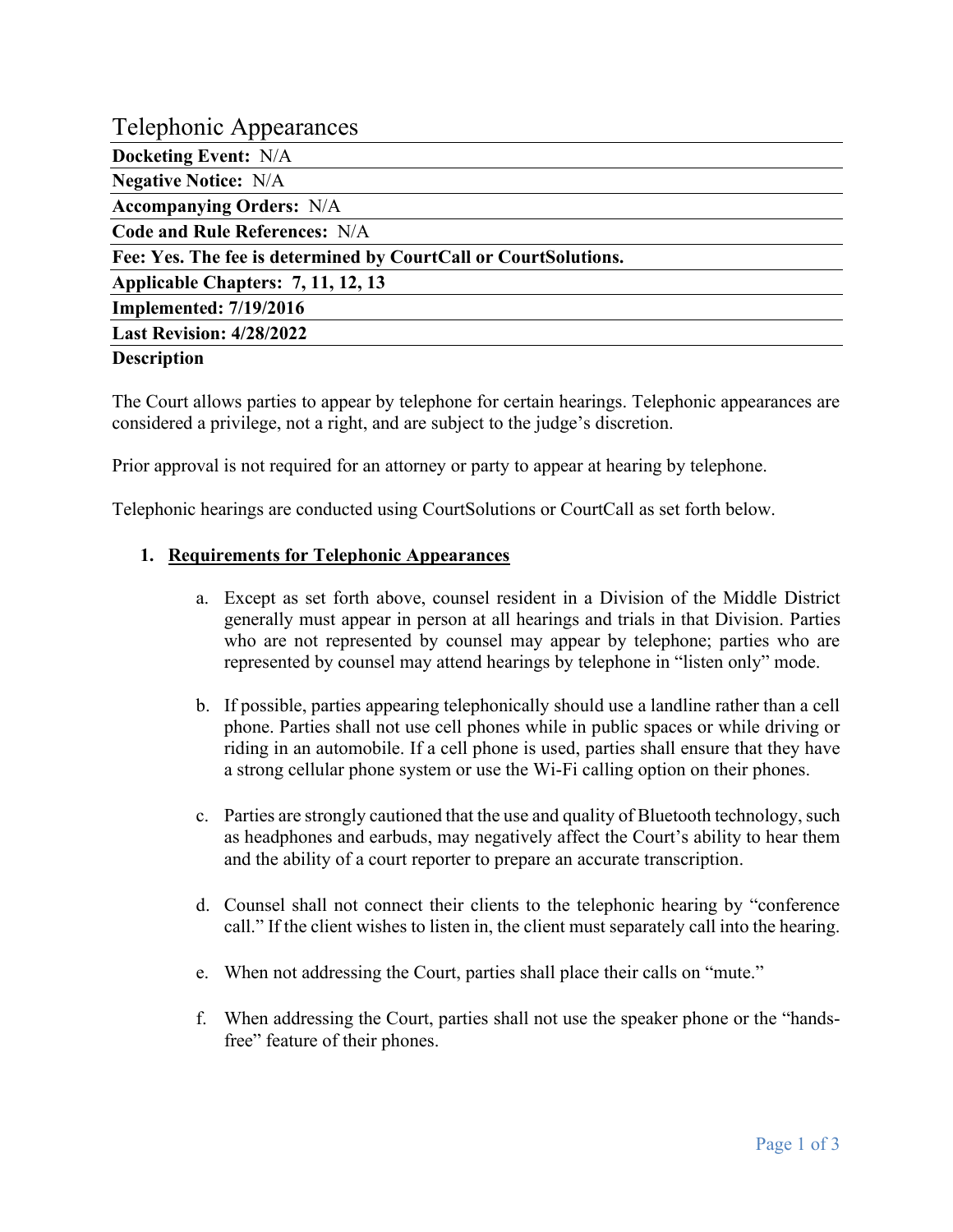# Telephonic Appearances

**Docketing Event:** N/A

**Negative Notice:** N/A

**Accompanying Orders:** N/A

**Code and Rule References:** N/A

**Fee: Yes. The fee is determined by CourtCall or CourtSolutions.**

**Applicable Chapters: 7, 11, 12, 13**

**Implemented: 7/19/2016**

**Last Revision: 4/28/2022**

#### **Description**

The Court allows parties to appear by telephone for certain hearings. Telephonic appearances are considered a privilege, not a right, and are subject to the judge's discretion.

Prior approval is not required for an attorney or party to appear at hearing by telephone.

Telephonic hearings are conducted using CourtSolutions or CourtCall as set forth below.

### **1. Requirements for Telephonic Appearances**

- a. Except as set forth above, counsel resident in a Division of the Middle District generally must appear in person at all hearings and trials in that Division. Parties who are not represented by counsel may appear by telephone; parties who are represented by counsel may attend hearings by telephone in "listen only" mode.
- b. If possible, parties appearing telephonically should use a landline rather than a cell phone. Parties shall not use cell phones while in public spaces or while driving or riding in an automobile. If a cell phone is used, parties shall ensure that they have a strong cellular phone system or use the Wi-Fi calling option on their phones.
- c. Parties are strongly cautioned that the use and quality of Bluetooth technology, such as headphones and earbuds, may negatively affect the Court's ability to hear them and the ability of a court reporter to prepare an accurate transcription.
- d. Counsel shall not connect their clients to the telephonic hearing by "conference call." If the client wishes to listen in, the client must separately call into the hearing.
- e. When not addressing the Court, parties shall place their calls on "mute."
- f. When addressing the Court, parties shall not use the speaker phone or the "handsfree" feature of their phones.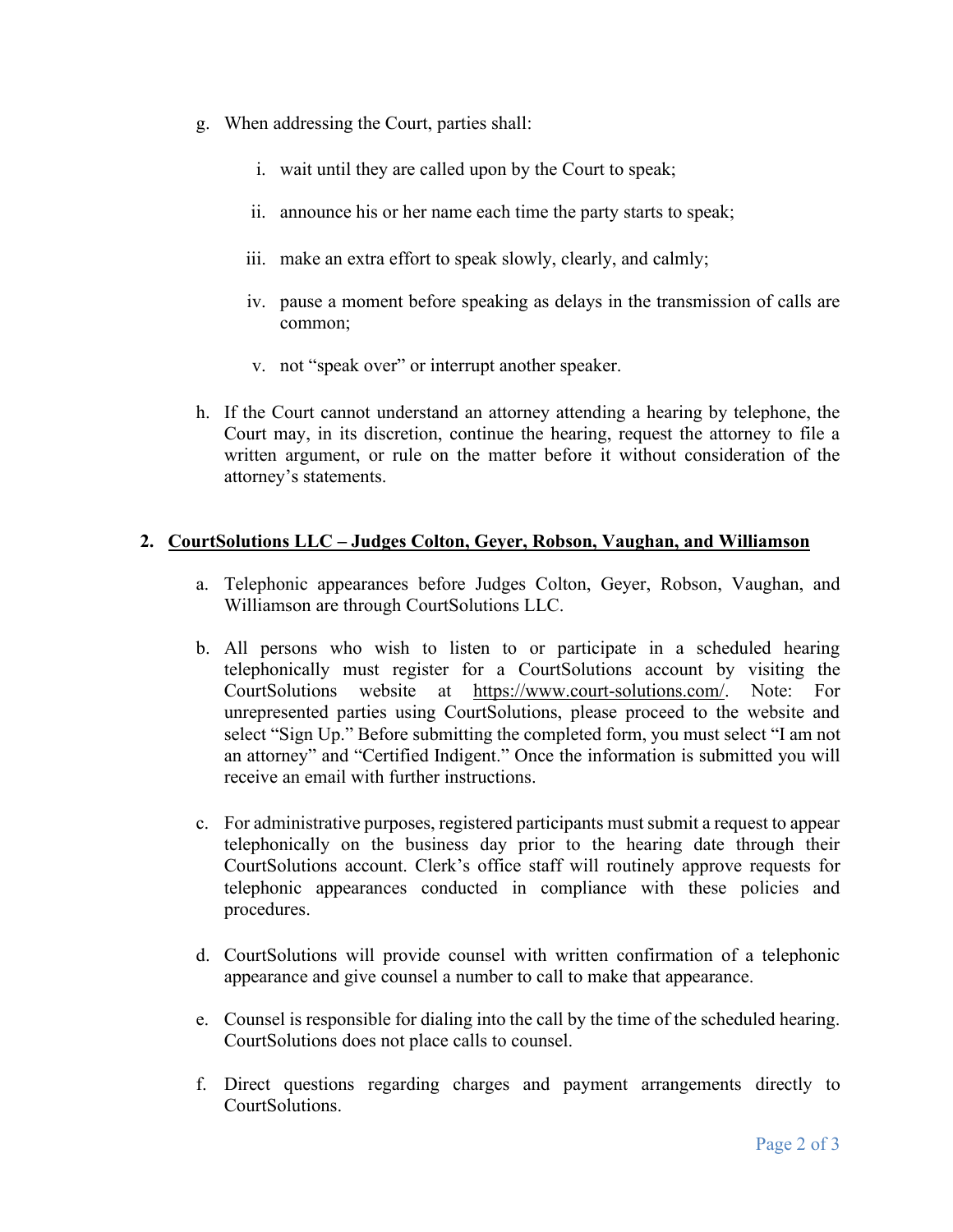- g. When addressing the Court, parties shall:
	- i. wait until they are called upon by the Court to speak;
	- ii. announce his or her name each time the party starts to speak;
	- iii. make an extra effort to speak slowly, clearly, and calmly;
	- iv. pause a moment before speaking as delays in the transmission of calls are common;
	- v. not "speak over" or interrupt another speaker.
- h. If the Court cannot understand an attorney attending a hearing by telephone, the Court may, in its discretion, continue the hearing, request the attorney to file a written argument, or rule on the matter before it without consideration of the attorney's statements.

### **2. CourtSolutions LLC – Judges Colton, Geyer, Robson, Vaughan, and Williamson**

- a. Telephonic appearances before Judges Colton, Geyer, Robson, Vaughan, and Williamson are through CourtSolutions LLC.
- b. All persons who wish to listen to or participate in a scheduled hearing telephonically must register for a CourtSolutions account by visiting the CourtSolutions website at [https://www.court-solutions.com/.](https://www.court-solutions.com/) Note: For unrepresented parties using CourtSolutions, please proceed to the website and select "Sign Up." Before submitting the completed form, you must select "I am not an attorney" and "Certified Indigent." Once the information is submitted you will receive an email with further instructions.
- c. For administrative purposes, registered participants must submit a request to appear telephonically on the business day prior to the hearing date through their CourtSolutions account. Clerk's office staff will routinely approve requests for telephonic appearances conducted in compliance with these policies and procedures.
- d. CourtSolutions will provide counsel with written confirmation of a telephonic appearance and give counsel a number to call to make that appearance.
- e. Counsel is responsible for dialing into the call by the time of the scheduled hearing. CourtSolutions does not place calls to counsel.
- f. Direct questions regarding charges and payment arrangements directly to CourtSolutions.